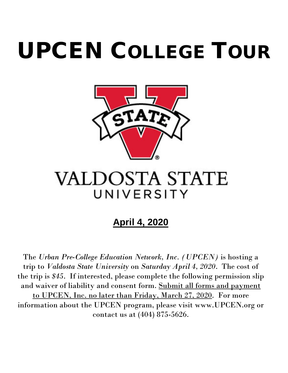# UPCEN COLLEGE TOUR



## **VALDOSTA STATE** UNIVERSITY

## **April 4, 2020**

The *Urban Pre-College Education Network, Inc. (UPCEN)* is hosting a trip to *Valdosta State University* on *Saturday April 4, 2020*. The cost of the trip is *\$45*. If interested, please complete the following permission slip and waiver of liability and consent form. Submit all forms and payment to UPCEN, Inc. no later than Friday, March 27, 2020. For more information about the UPCEN program, please visit www.UPCEN.org or contact us at (404) 875-5626.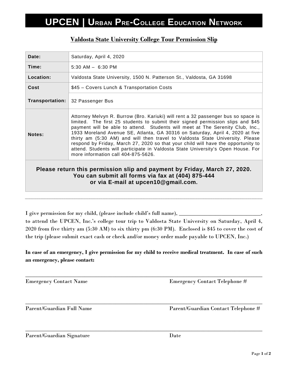## **UPCEN | URBAN PRE-COLLEGE EDUCATION NETWORK**

| Date:                                                                                                                                                                 | Saturday, April 4, 2020                                                                                                                                                                                                                                                                                                                                                                                                                                                                                                                                                                                                                  |
|-----------------------------------------------------------------------------------------------------------------------------------------------------------------------|------------------------------------------------------------------------------------------------------------------------------------------------------------------------------------------------------------------------------------------------------------------------------------------------------------------------------------------------------------------------------------------------------------------------------------------------------------------------------------------------------------------------------------------------------------------------------------------------------------------------------------------|
| Time:                                                                                                                                                                 | $5:30$ AM $-$ 6:30 PM                                                                                                                                                                                                                                                                                                                                                                                                                                                                                                                                                                                                                    |
| Location:                                                                                                                                                             | Valdosta State University, 1500 N. Patterson St., Valdosta, GA 31698                                                                                                                                                                                                                                                                                                                                                                                                                                                                                                                                                                     |
| Cost                                                                                                                                                                  | \$45 - Covers Lunch & Transportation Costs                                                                                                                                                                                                                                                                                                                                                                                                                                                                                                                                                                                               |
| <b>Transportation:</b>                                                                                                                                                | 32 Passenger Bus                                                                                                                                                                                                                                                                                                                                                                                                                                                                                                                                                                                                                         |
| Notes:                                                                                                                                                                | Attorney Melvyn R. Burrow (Bro. Kariuki) will rent a 32 passenger bus so space is<br>limited. The first 25 students to submit their signed permission slips and \$45<br>payment will be able to attend. Students will meet at The Serenity Club, Inc.,<br>1933 Moreland Avenue SE, Atlanta, GA 30316 on Saturday, April 4, 2020 at five<br>thirty am (5:30 AM) and will then travel to Valdosta State University. Please<br>respond by Friday, March 27, 2020 so that your child will have the opportunity to<br>attend. Students will participate in Valdosta State University's Open House. For<br>more information call 404-875-5626. |
| Please return this permission slip and payment by Friday, March 27, 2020.<br>You can submit all forms via fax at (404) 875-444<br>or via E-mail at upcen10@gmail.com. |                                                                                                                                                                                                                                                                                                                                                                                                                                                                                                                                                                                                                                          |

#### **Valdosta State University College Tour Permission Slip**

I give permission for my child, (please include child's full name),  $\overline{\phantom{a}}$ to attend the UPCEN, Inc.'s college tour trip to Valdosta State University on Saturday, April 4, 2020 from five thirty am (5:30 AM) to six thirty pm (6:30 PM). Enclosed is \$45 to cover the cost of the trip (please submit exact cash or check and/or money order made payable to UPCEN, Inc.)

#### **In case of an emergency, I give permission for my child to receive medical treatment. In case of such an emergency, please contact:**

\_\_\_\_\_\_\_\_\_\_\_\_\_\_\_\_\_\_\_\_\_\_\_\_\_\_\_\_\_\_\_\_\_\_\_\_\_\_\_\_\_\_\_\_\_\_\_\_\_\_\_\_\_\_\_\_\_\_\_\_\_\_\_\_\_\_\_\_\_\_\_\_\_\_\_\_\_\_\_\_\_\_\_\_ Emergency Contact Name Emergency Contact Telephone # \_\_\_\_\_\_\_\_\_\_\_\_\_\_\_\_\_\_\_\_\_\_\_\_\_\_\_\_\_\_\_\_\_\_\_\_\_\_\_\_\_\_\_\_\_\_\_\_\_\_\_\_\_\_\_\_\_\_\_\_\_\_\_\_\_\_\_\_\_\_\_\_\_\_\_\_\_\_\_\_\_\_\_\_ Parent/Guardian Full Name Parent/Guardian Contact Telephone # \_\_\_\_\_\_\_\_\_\_\_\_\_\_\_\_\_\_\_\_\_\_\_\_\_\_\_\_\_\_\_\_\_\_\_\_\_\_\_\_\_\_\_\_\_\_\_\_\_\_\_\_\_\_\_\_\_\_\_\_\_\_\_\_\_\_\_\_\_\_\_\_\_\_\_\_\_\_\_\_\_\_\_\_

Parent/Guardian Signature Date